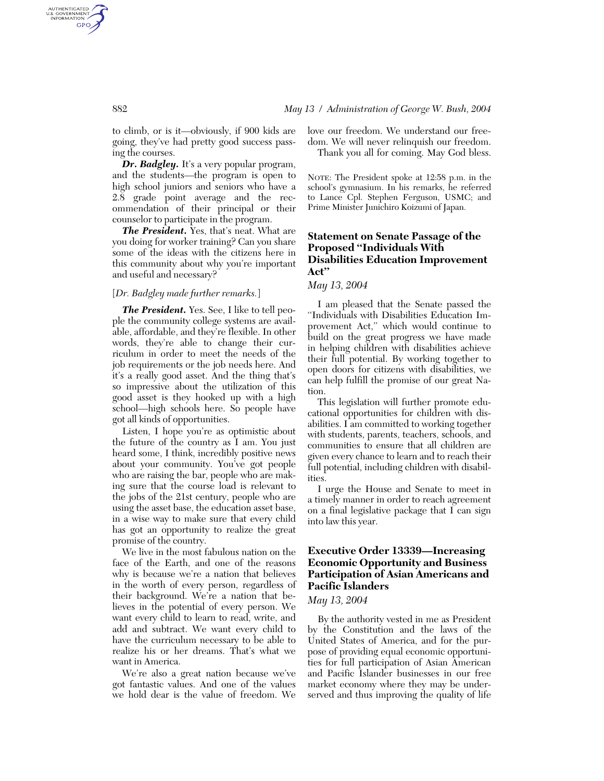to climb, or is it—obviously, if 900 kids are going, they've had pretty good success passing the courses.

*Dr. Badgley.* It's a very popular program, and the students—the program is open to high school juniors and seniors who have a 2.8 grade point average and the recommendation of their principal or their counselor to participate in the program.

*The President.* Yes, that's neat. What are you doing for worker training? Can you share some of the ideas with the citizens here in this community about why you're important and useful and necessary?

## [*Dr. Badgley made further remarks.*]

*The President.* Yes. See, I like to tell people the community college systems are available, affordable, and they're flexible. In other words, they're able to change their curriculum in order to meet the needs of the job requirements or the job needs here. And it's a really good asset. And the thing that's so impressive about the utilization of this good asset is they hooked up with a high school—high schools here. So people have got all kinds of opportunities.

Listen, I hope you're as optimistic about the future of the country as I am. You just heard some, I think, incredibly positive news about your community. You've got people who are raising the bar, people who are making sure that the course load is relevant to the jobs of the 21st century, people who are using the asset base, the education asset base, in a wise way to make sure that every child has got an opportunity to realize the great promise of the country.

We live in the most fabulous nation on the face of the Earth, and one of the reasons why is because we're a nation that believes in the worth of every person, regardless of their background. We're a nation that believes in the potential of every person. We want every child to learn to read, write, and add and subtract. We want every child to have the curriculum necessary to be able to realize his or her dreams. That's what we want in America.

We're also a great nation because we've got fantastic values. And one of the values we hold dear is the value of freedom. We love our freedom. We understand our freedom. We will never relinquish our freedom. Thank you all for coming. May God bless.

NOTE: The President spoke at 12:58 p.m. in the school's gymnasium. In his remarks, he referred to Lance Cpl. Stephen Ferguson, USMC; and Prime Minister Junichiro Koizumi of Japan.

# **Statement on Senate Passage of the Proposed ''Individuals With Disabilities Education Improvement Act''**

## *May 13, 2004*

I am pleased that the Senate passed the ''Individuals with Disabilities Education Improvement Act,'' which would continue to build on the great progress we have made in helping children with disabilities achieve their full potential. By working together to open doors for citizens with disabilities, we can help fulfill the promise of our great Nation.

This legislation will further promote educational opportunities for children with disabilities. I am committed to working together with students, parents, teachers, schools, and communities to ensure that all children are given every chance to learn and to reach their full potential, including children with disabilities.

I urge the House and Senate to meet in a timely manner in order to reach agreement on a final legislative package that I can sign into law this year.

# **Executive Order 13339—Increasing Economic Opportunity and Business Participation of Asian Americans and Pacific Islanders**

## *May 13, 2004*

By the authority vested in me as President by the Constitution and the laws of the United States of America, and for the purpose of providing equal economic opportunities for full participation of Asian American and Pacific Islander businesses in our free market economy where they may be underserved and thus improving the quality of life

AUTHENTICATED<br>U.S. GOVERNMENT<br>INFORMATION GPO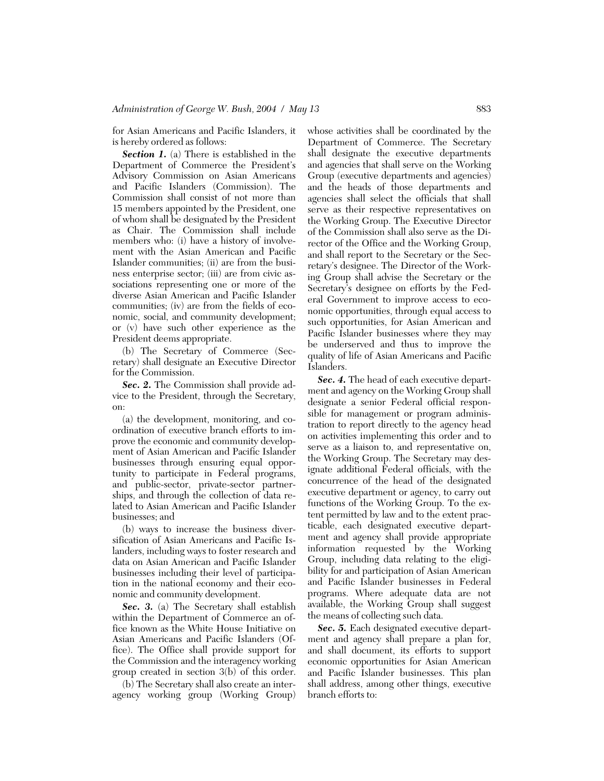for Asian Americans and Pacific Islanders, it is hereby ordered as follows:

*Section 1.* (a) There is established in the Department of Commerce the President's Advisory Commission on Asian Americans and Pacific Islanders (Commission). The Commission shall consist of not more than 15 members appointed by the President, one of whom shall be designated by the President as Chair. The Commission shall include members who: (i) have a history of involvement with the Asian American and Pacific Islander communities; (ii) are from the business enterprise sector; (iii) are from civic associations representing one or more of the diverse Asian American and Pacific Islander communities; (iv) are from the fields of economic, social, and community development; or (v) have such other experience as the President deems appropriate.

(b) The Secretary of Commerce (Secretary) shall designate an Executive Director for the Commission.

*Sec. 2.* The Commission shall provide advice to the President, through the Secretary, on:

(a) the development, monitoring, and coordination of executive branch efforts to improve the economic and community development of Asian American and Pacific Islander businesses through ensuring equal opportunity to participate in Federal programs, and public-sector, private-sector partnerships, and through the collection of data related to Asian American and Pacific Islander businesses; and

(b) ways to increase the business diversification of Asian Americans and Pacific Islanders, including ways to foster research and data on Asian American and Pacific Islander businesses including their level of participation in the national economy and their economic and community development.

*Sec. 3.* (a) The Secretary shall establish within the Department of Commerce an office known as the White House Initiative on Asian Americans and Pacific Islanders (Office). The Office shall provide support for the Commission and the interagency working group created in section 3(b) of this order.

(b) The Secretary shall also create an interagency working group (Working Group) whose activities shall be coordinated by the Department of Commerce. The Secretary shall designate the executive departments and agencies that shall serve on the Working Group (executive departments and agencies) and the heads of those departments and agencies shall select the officials that shall serve as their respective representatives on the Working Group. The Executive Director of the Commission shall also serve as the Director of the Office and the Working Group, and shall report to the Secretary or the Secretary's designee. The Director of the Working Group shall advise the Secretary or the Secretary's designee on efforts by the Federal Government to improve access to economic opportunities, through equal access to such opportunities, for Asian American and Pacific Islander businesses where they may be underserved and thus to improve the quality of life of Asian Americans and Pacific Islanders.

*Sec. 4.* The head of each executive department and agency on the Working Group shall designate a senior Federal official responsible for management or program administration to report directly to the agency head on activities implementing this order and to serve as a liaison to, and representative on, the Working Group. The Secretary may designate additional Federal officials, with the concurrence of the head of the designated executive department or agency, to carry out functions of the Working Group. To the extent permitted by law and to the extent practicable, each designated executive department and agency shall provide appropriate information requested by the Working Group, including data relating to the eligibility for and participation of Asian American and Pacific Islander businesses in Federal programs. Where adequate data are not available, the Working Group shall suggest the means of collecting such data.

*Sec. 5.* Each designated executive department and agency shall prepare a plan for, and shall document, its efforts to support economic opportunities for Asian American and Pacific Islander businesses. This plan shall address, among other things, executive branch efforts to: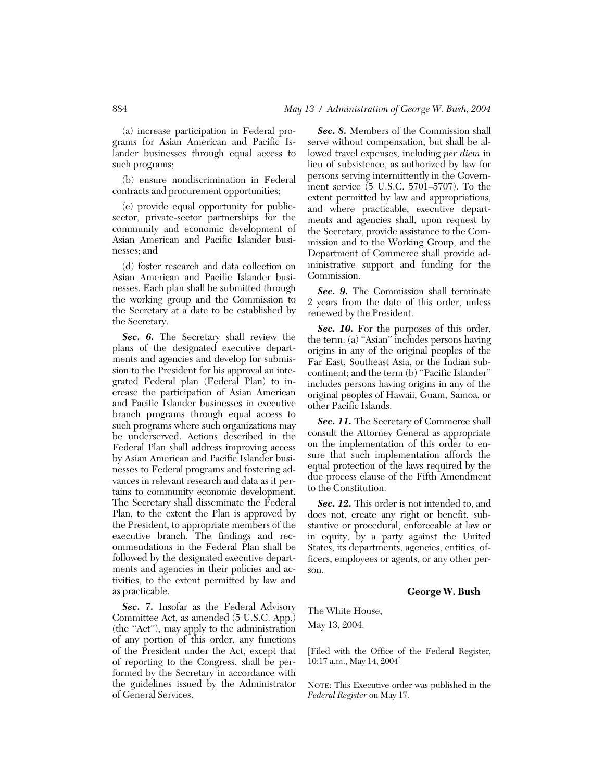(a) increase participation in Federal programs for Asian American and Pacific Islander businesses through equal access to such programs;

(b) ensure nondiscrimination in Federal contracts and procurement opportunities;

(c) provide equal opportunity for publicsector, private-sector partnerships for the community and economic development of Asian American and Pacific Islander businesses; and

(d) foster research and data collection on Asian American and Pacific Islander businesses. Each plan shall be submitted through the working group and the Commission to the Secretary at a date to be established by the Secretary.

*Sec. 6.* The Secretary shall review the plans of the designated executive departments and agencies and develop for submission to the President for his approval an integrated Federal plan (Federal Plan) to increase the participation of Asian American and Pacific Islander businesses in executive branch programs through equal access to such programs where such organizations may be underserved. Actions described in the Federal Plan shall address improving access by Asian American and Pacific Islander businesses to Federal programs and fostering advances in relevant research and data as it pertains to community economic development. The Secretary shall disseminate the Federal Plan, to the extent the Plan is approved by the President, to appropriate members of the executive branch. The findings and recommendations in the Federal Plan shall be followed by the designated executive departments and agencies in their policies and activities, to the extent permitted by law and as practicable.

*Sec. 7.* Insofar as the Federal Advisory Committee Act, as amended (5 U.S.C. App.) (the ''Act''), may apply to the administration of any portion of this order, any functions of the President under the Act, except that of reporting to the Congress, shall be performed by the Secretary in accordance with the guidelines issued by the Administrator of General Services.

*Sec. 8.* Members of the Commission shall serve without compensation, but shall be allowed travel expenses, including *per diem* in lieu of subsistence, as authorized by law for persons serving intermittently in the Government service (5 U.S.C. 5701–5707). To the extent permitted by law and appropriations, and where practicable, executive departments and agencies shall, upon request by the Secretary, provide assistance to the Commission and to the Working Group, and the Department of Commerce shall provide administrative support and funding for the Commission.

*Sec. 9.* The Commission shall terminate 2 years from the date of this order, unless renewed by the President.

*Sec. 10.* For the purposes of this order, the term: (a) ''Asian'' includes persons having origins in any of the original peoples of the Far East, Southeast Asia, or the Indian subcontinent; and the term (b) ''Pacific Islander'' includes persons having origins in any of the original peoples of Hawaii, Guam, Samoa, or other Pacific Islands.

Sec. 11. The Secretary of Commerce shall consult the Attorney General as appropriate on the implementation of this order to ensure that such implementation affords the equal protection of the laws required by the due process clause of the Fifth Amendment to the Constitution.

*Sec. 12.* This order is not intended to, and does not, create any right or benefit, substantive or procedural, enforceable at law or in equity, by a party against the United States, its departments, agencies, entities, officers, employees or agents, or any other person.

### **George W. Bush**

The White House, May 13, 2004.

[Filed with the Office of the Federal Register, 10:17 a.m., May 14, 2004]

NOTE: This Executive order was published in the *Federal Register* on May 17.